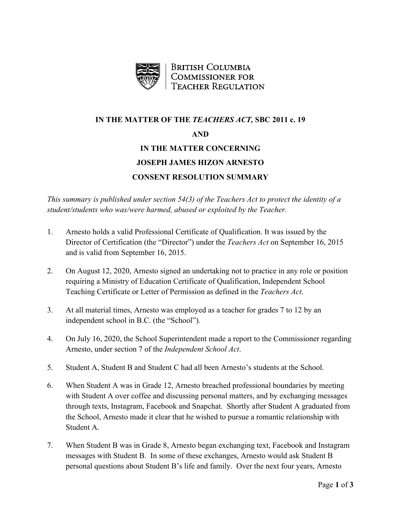

**BRITISH COLUMBIA COMMISSIONER FOR TEACHER REGULATION** 

## **IN THE MATTER OF THE** *TEACHERS ACT,* **SBC 2011 c. 19 AND IN THE MATTER CONCERNING JOSEPH JAMES HIZON ARNESTO CONSENT RESOLUTION SUMMARY**

*This summary is published under section 54(3) of the Teachers Act to protect the identity of a student/students who was/were harmed, abused or exploited by the Teacher.*

- 1. Arnesto holds a valid Professional Certificate of Qualification. It was issued by the Director of Certification (the "Director") under the *Teachers Act* on September 16, 2015 and is valid from September 16, 2015.
- 2. On August 12, 2020, Arnesto signed an undertaking not to practice in any role or position requiring a Ministry of Education Certificate of Qualification, Independent School Teaching Certificate or Letter of Permission as defined in the *Teachers Act*.
- 3. At all material times, Arnesto was employed as a teacher for grades 7 to 12 by an independent school in B.C. (the "School").
- 4. On July 16, 2020, the School Superintendent made a report to the Commissioner regarding Arnesto, under section 7 of the *Independent School Act*.
- 5. Student A, Student B and Student C had all been Arnesto's students at the School.
- 6. When Student A was in Grade 12, Arnesto breached professional boundaries by meeting with Student A over coffee and discussing personal matters, and by exchanging messages through texts, Instagram, Facebook and Snapchat. Shortly after Student A graduated from the School, Arnesto made it clear that he wished to pursue a romantic relationship with Student A.
- 7. When Student B was in Grade 8, Arnesto began exchanging text, Facebook and Instagram messages with Student B. In some of these exchanges, Arnesto would ask Student B personal questions about Student B's life and family. Over the next four years, Arnesto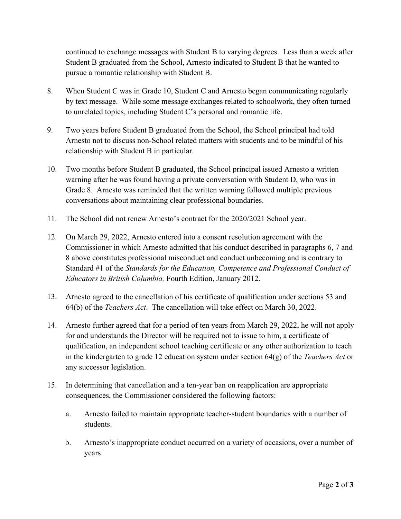continued to exchange messages with Student B to varying degrees. Less than a week after Student B graduated from the School, Arnesto indicated to Student B that he wanted to pursue a romantic relationship with Student B.

- 8. When Student C was in Grade 10, Student C and Arnesto began communicating regularly by text message. While some message exchanges related to schoolwork, they often turned to unrelated topics, including Student C's personal and romantic life.
- 9. Two years before Student B graduated from the School, the School principal had told Arnesto not to discuss non-School related matters with students and to be mindful of his relationship with Student B in particular.
- 10. Two months before Student B graduated, the School principal issued Arnesto a written warning after he was found having a private conversation with Student D, who was in Grade 8. Arnesto was reminded that the written warning followed multiple previous conversations about maintaining clear professional boundaries.
- 11. The School did not renew Arnesto's contract for the 2020/2021 School year.
- 12. On March 29, 2022, Arnesto entered into a consent resolution agreement with the Commissioner in which Arnesto admitted that his conduct described in paragraphs 6, 7 and 8 above constitutes professional misconduct and conduct unbecoming and is contrary to Standard #1 of the *Standards for the Education, Competence and Professional Conduct of Educators in British Columbia,* Fourth Edition, January 2012.
- 13. Arnesto agreed to the cancellation of his certificate of qualification under sections 53 and 64(b) of the *Teachers Act*. The cancellation will take effect on March 30, 2022.
- 14. Arnesto further agreed that for a period of ten years from March 29, 2022, he will not apply for and understands the Director will be required not to issue to him, a certificate of qualification, an independent school teaching certificate or any other authorization to teach in the kindergarten to grade 12 education system under section 64(g) of the *Teachers Act* or any successor legislation.
- 15. In determining that cancellation and a ten-year ban on reapplication are appropriate consequences, the Commissioner considered the following factors:
	- a. Arnesto failed to maintain appropriate teacher-student boundaries with a number of students.
	- b. Arnesto's inappropriate conduct occurred on a variety of occasions, over a number of years.